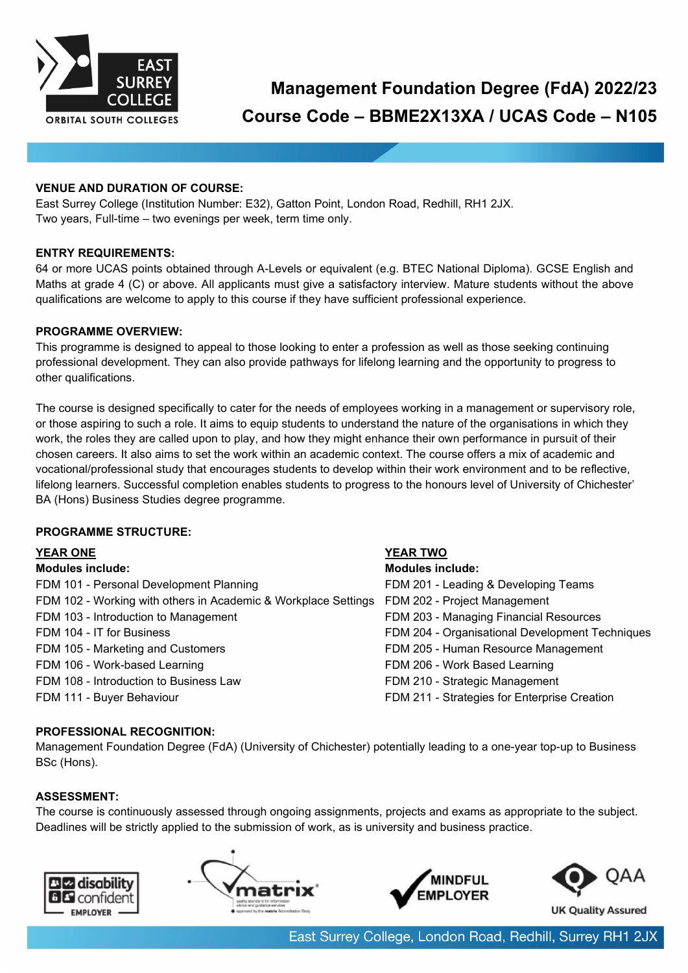

# **Management Foundation Degree (FdA) 2022/23 Course Code – BBME2X13XA / UCAS Code – N105**

### **VENUE AND DURATION OF COURSE:**

East Surrey College (Institution Number: E32), Gatton Point, London Road, Redhill, RH1 2JX. Two years, Full-time – two evenings per week, term time only.

#### **ENTRY REQUIREMENTS:**

64 or more UCAS points obtained through A-Levels or equivalent (e.g. BTEC National Diploma). GCSE English and Maths at grade 4 (C) or above. All applicants must give a satisfactory interview. Mature students without the above qualifications are welcome to apply to this course if they have sufficient professional experience.

#### **PROGRAMME OVERVIEW:**

This programme is designed to appeal to those looking to enter a profession as well as those seeking continuing professional development. They can also provide pathways for lifelong learning and the opportunity to progress to other qualifications.

The course is designed specifically to cater for the needs of employees working in a management or supervisory role, or those aspiring to such a role. It aims to equip students to understand the nature of the organisations in which they work, the roles they are called upon to play, and how they might enhance their own performance in pursuit of their chosen careers. It also aims to set the work within an academic context. The course offers a mix of academic and vocational/professional study that encourages students to develop within their work environment and to be reflective, lifelong learners. Successful completion enables students to progress to the honours level of University of Chichester' BA (Hons) Business Studies degree programme.

#### **PROGRAMME STRUCTURE:**

#### **YEAR ONE YEAR TWO**

#### **Modules include: Modules include:**

| FDM 101 - Personal Development Planning                        | FDM 201 - Leading & Developing Teams            |
|----------------------------------------------------------------|-------------------------------------------------|
| FDM 102 - Working with others in Academic & Workplace Settings | FDM 202 - Project Management                    |
| FDM 103 - Introduction to Management                           | FDM 203 - Managing Financial Resources          |
| FDM 104 - IT for Business                                      | FDM 204 - Organisational Development Techniques |
| FDM 105 - Marketing and Customers                              | FDM 205 - Human Resource Management             |
| FDM 106 - Work-based Learning                                  | FDM 206 - Work Based Learning                   |
| FDM 108 - Introduction to Business Law                         | FDM 210 - Strategic Management                  |
| FDM 111 - Buyer Behaviour                                      | FDM 211 - Strategies for Enterprise Creation    |

#### **PROFESSIONAL RECOGNITION:**

Management Foundation Degree (FdA) (University of Chichester) potentially leading to a one-year top-up to Business BSc (Hons).

#### **ASSESSMENT:**

The course is continuously assessed through ongoing assignments, projects and exams as appropriate to the subject. Deadlines will be strictly applied to the submission of work, as is university and business practice.